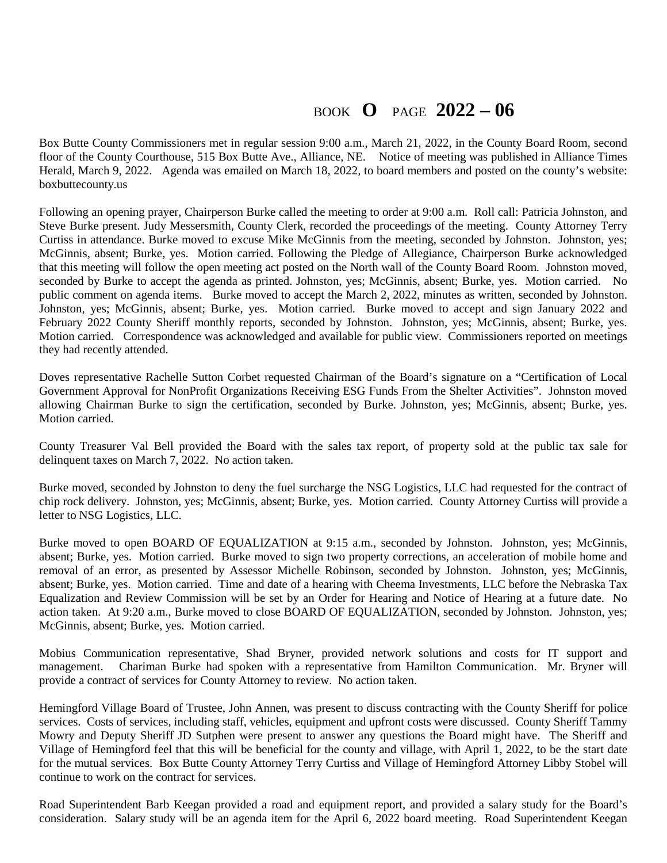## BOOK **O** PAGE **2022 – 06**

Box Butte County Commissioners met in regular session 9:00 a.m., March 21, 2022, in the County Board Room, second floor of the County Courthouse, 515 Box Butte Ave., Alliance, NE. Notice of meeting was published in Alliance Times Herald, March 9, 2022. Agenda was emailed on March 18, 2022, to board members and posted on the county's website: boxbuttecounty.us

Following an opening prayer, Chairperson Burke called the meeting to order at 9:00 a.m. Roll call: Patricia Johnston, and Steve Burke present. Judy Messersmith, County Clerk, recorded the proceedings of the meeting. County Attorney Terry Curtiss in attendance. Burke moved to excuse Mike McGinnis from the meeting, seconded by Johnston. Johnston, yes; McGinnis, absent; Burke, yes. Motion carried. Following the Pledge of Allegiance, Chairperson Burke acknowledged that this meeting will follow the open meeting act posted on the North wall of the County Board Room. Johnston moved, seconded by Burke to accept the agenda as printed. Johnston, yes; McGinnis, absent; Burke, yes. Motion carried. No public comment on agenda items. Burke moved to accept the March 2, 2022, minutes as written, seconded by Johnston. Johnston, yes; McGinnis, absent; Burke, yes. Motion carried. Burke moved to accept and sign January 2022 and February 2022 County Sheriff monthly reports, seconded by Johnston. Johnston, yes; McGinnis, absent; Burke, yes. Motion carried. Correspondence was acknowledged and available for public view. Commissioners reported on meetings they had recently attended.

Doves representative Rachelle Sutton Corbet requested Chairman of the Board's signature on a "Certification of Local Government Approval for NonProfit Organizations Receiving ESG Funds From the Shelter Activities". Johnston moved allowing Chairman Burke to sign the certification, seconded by Burke. Johnston, yes; McGinnis, absent; Burke, yes. Motion carried.

County Treasurer Val Bell provided the Board with the sales tax report, of property sold at the public tax sale for delinquent taxes on March 7, 2022. No action taken.

Burke moved, seconded by Johnston to deny the fuel surcharge the NSG Logistics, LLC had requested for the contract of chip rock delivery. Johnston, yes; McGinnis, absent; Burke, yes. Motion carried. County Attorney Curtiss will provide a letter to NSG Logistics, LLC.

Burke moved to open BOARD OF EQUALIZATION at 9:15 a.m., seconded by Johnston. Johnston, yes; McGinnis, absent; Burke, yes. Motion carried. Burke moved to sign two property corrections, an acceleration of mobile home and removal of an error, as presented by Assessor Michelle Robinson, seconded by Johnston. Johnston, yes; McGinnis, absent; Burke, yes. Motion carried. Time and date of a hearing with Cheema Investments, LLC before the Nebraska Tax Equalization and Review Commission will be set by an Order for Hearing and Notice of Hearing at a future date. No action taken. At 9:20 a.m., Burke moved to close BOARD OF EQUALIZATION, seconded by Johnston. Johnston, yes; McGinnis, absent; Burke, yes. Motion carried.

Mobius Communication representative, Shad Bryner, provided network solutions and costs for IT support and management. Chariman Burke had spoken with a representative from Hamilton Communication. Mr. Bryner will provide a contract of services for County Attorney to review. No action taken.

Hemingford Village Board of Trustee, John Annen, was present to discuss contracting with the County Sheriff for police services. Costs of services, including staff, vehicles, equipment and upfront costs were discussed. County Sheriff Tammy Mowry and Deputy Sheriff JD Sutphen were present to answer any questions the Board might have. The Sheriff and Village of Hemingford feel that this will be beneficial for the county and village, with April 1, 2022, to be the start date for the mutual services. Box Butte County Attorney Terry Curtiss and Village of Hemingford Attorney Libby Stobel will continue to work on the contract for services.

Road Superintendent Barb Keegan provided a road and equipment report, and provided a salary study for the Board's consideration. Salary study will be an agenda item for the April 6, 2022 board meeting. Road Superintendent Keegan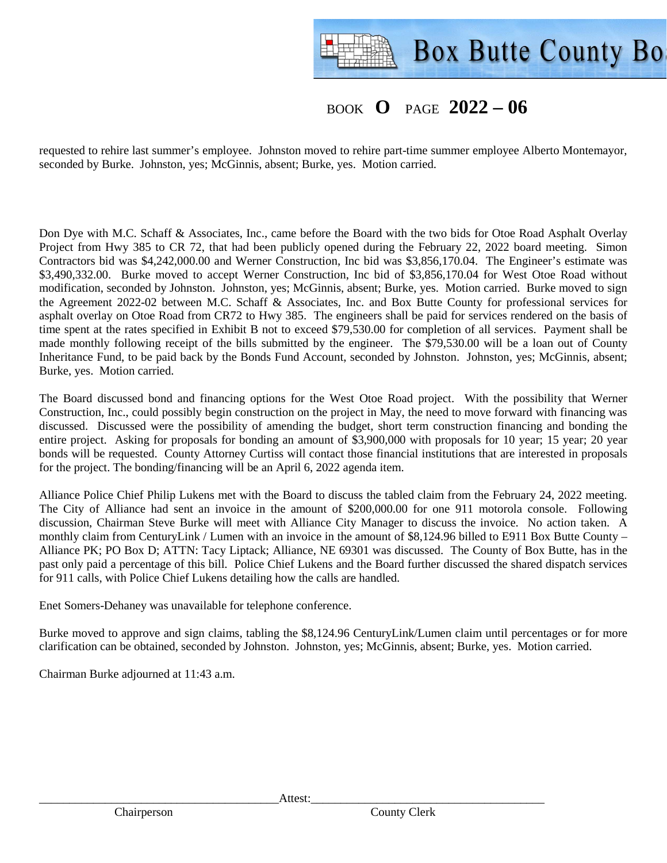

## BOOK **O** PAGE **2022 – 06**

requested to rehire last summer's employee. Johnston moved to rehire part-time summer employee Alberto Montemayor, seconded by Burke. Johnston, yes; McGinnis, absent; Burke, yes. Motion carried.

Don Dye with M.C. Schaff & Associates, Inc., came before the Board with the two bids for Otoe Road Asphalt Overlay Project from Hwy 385 to CR 72, that had been publicly opened during the February 22, 2022 board meeting. Simon Contractors bid was \$4,242,000.00 and Werner Construction, Inc bid was \$3,856,170.04. The Engineer's estimate was \$3,490,332.00. Burke moved to accept Werner Construction, Inc bid of \$3,856,170.04 for West Otoe Road without modification, seconded by Johnston. Johnston, yes; McGinnis, absent; Burke, yes. Motion carried. Burke moved to sign the Agreement 2022-02 between M.C. Schaff & Associates, Inc. and Box Butte County for professional services for asphalt overlay on Otoe Road from CR72 to Hwy 385. The engineers shall be paid for services rendered on the basis of time spent at the rates specified in Exhibit B not to exceed \$79,530.00 for completion of all services. Payment shall be made monthly following receipt of the bills submitted by the engineer. The \$79,530.00 will be a loan out of County Inheritance Fund, to be paid back by the Bonds Fund Account, seconded by Johnston. Johnston, yes; McGinnis, absent; Burke, yes. Motion carried.

The Board discussed bond and financing options for the West Otoe Road project. With the possibility that Werner Construction, Inc., could possibly begin construction on the project in May, the need to move forward with financing was discussed. Discussed were the possibility of amending the budget, short term construction financing and bonding the entire project. Asking for proposals for bonding an amount of \$3,900,000 with proposals for 10 year; 15 year; 20 year bonds will be requested. County Attorney Curtiss will contact those financial institutions that are interested in proposals for the project. The bonding/financing will be an April 6, 2022 agenda item.

Alliance Police Chief Philip Lukens met with the Board to discuss the tabled claim from the February 24, 2022 meeting. The City of Alliance had sent an invoice in the amount of \$200,000.00 for one 911 motorola console. Following discussion, Chairman Steve Burke will meet with Alliance City Manager to discuss the invoice. No action taken. A monthly claim from CenturyLink / Lumen with an invoice in the amount of \$8,124.96 billed to E911 Box Butte County – Alliance PK; PO Box D; ATTN: Tacy Liptack; Alliance, NE 69301 was discussed. The County of Box Butte, has in the past only paid a percentage of this bill. Police Chief Lukens and the Board further discussed the shared dispatch services for 911 calls, with Police Chief Lukens detailing how the calls are handled.

Enet Somers-Dehaney was unavailable for telephone conference.

Burke moved to approve and sign claims, tabling the \$8,124.96 CenturyLink/Lumen claim until percentages or for more clarification can be obtained, seconded by Johnston. Johnston, yes; McGinnis, absent; Burke, yes. Motion carried.

Chairman Burke adjourned at 11:43 a.m.